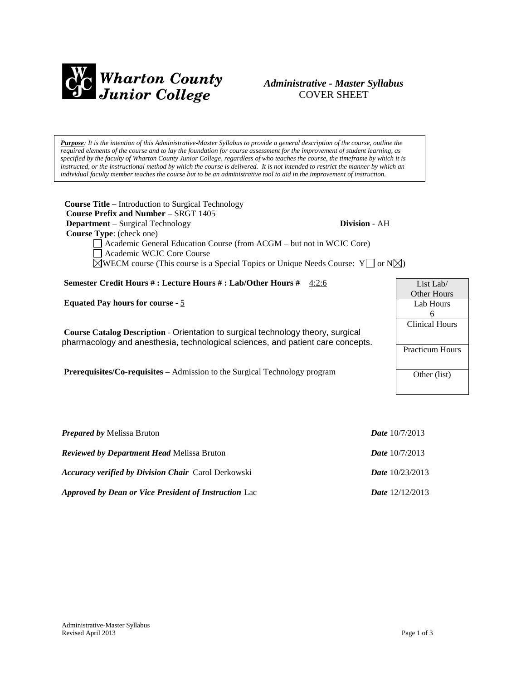

# *Administrative - Master Syllabus*  COVER SHEET

*Purpose: It is the intention of this Administrative-Master Syllabus to provide a general description of the course, outline the required elements of the course and to lay the foundation for course assessment for the improvement of student learning, as specified by the faculty of Wharton County Junior College, regardless of who teaches the course, the timeframe by which it is instructed, or the instructional method by which the course is delivered. It is not intended to restrict the manner by which an individual faculty member teaches the course but to be an administrative tool to aid in the improvement of instruction.*

**Course Title** – Introduction to Surgical Technology  **Course Prefix and Number** – SRGT 1405 **Department** – Surgical Technology **Division** - AH  **Course Type**: (check one) Academic General Education Course (from ACGM – but not in WCJC Core) Academic WCJC Core Course  $\boxtimes$ WECM course (This course is a Special Topics or Unique Needs Course: Y  $\Box$  or N $\boxtimes$ ) **Semester Credit Hours # : Lecture Hours # : Lab/Other Hours #** 4:2:6 **Equated Pay hours for course** - 5 **Course Catalog Description** - Orientation to surgical technology theory, surgical pharmacology and anesthesia, technological sciences, and patient care concepts. **Prerequisites/Co-requisites** – Admission to the Surgical Technology program List Lab/ Other Hours Lab Hours Clinical Hours Practicum Hours Other (list)

| <i>Prepared by Melissa Bruton</i>                            | <b>Date</b> $10/7/2013$  |
|--------------------------------------------------------------|--------------------------|
| <i>Reviewed by Department Head Melissa Bruton</i>            | <b>Date</b> $10/7/2013$  |
| <b>Accuracy verified by Division Chair</b> Carol Derkowski   | <i>Date</i> $10/23/2013$ |
| <b>Approved by Dean or Vice President of Instruction Lac</b> | <b>Date</b> $12/12/2013$ |

6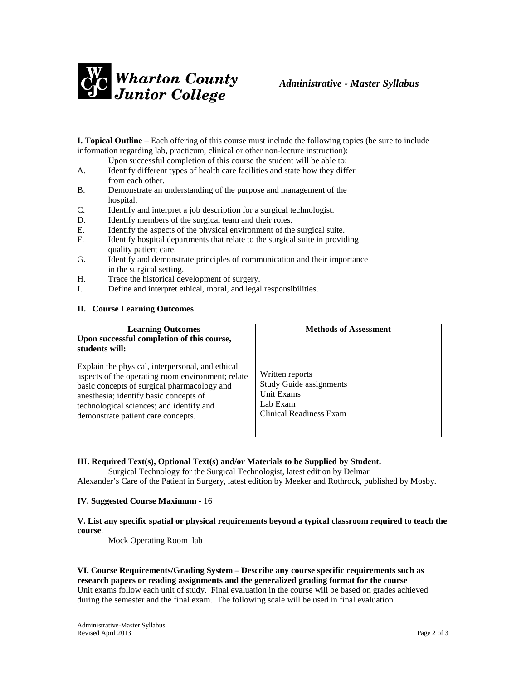

**I. Topical Outline** – Each offering of this course must include the following topics (be sure to include information regarding lab, practicum, clinical or other non-lecture instruction):

Upon successful completion of this course the student will be able to:

- A. Identify different types of health care facilities and state how they differ from each other.
- B. Demonstrate an understanding of the purpose and management of the hospital.
- C. Identify and interpret a job description for a surgical technologist.
- D. Identify members of the surgical team and their roles.
- E. Identify the aspects of the physical environment of the surgical suite.
- F. Identify hospital departments that relate to the surgical suite in providing quality patient care.
- G. Identify and demonstrate principles of communication and their importance in the surgical setting.
- H. Trace the historical development of surgery.
- I. Define and interpret ethical, moral, and legal responsibilities.

### **II. Course Learning Outcomes**

| <b>Learning Outcomes</b><br>Upon successful completion of this course,<br>students will:                                                                                                                                                                                         | <b>Methods of Assessment</b>                                                                           |
|----------------------------------------------------------------------------------------------------------------------------------------------------------------------------------------------------------------------------------------------------------------------------------|--------------------------------------------------------------------------------------------------------|
| Explain the physical, interpersonal, and ethical<br>aspects of the operating room environment; relate<br>basic concepts of surgical pharmacology and<br>anesthesia; identify basic concepts of<br>technological sciences; and identify and<br>demonstrate patient care concepts. | Written reports<br><b>Study Guide assignments</b><br>Unit Exams<br>Lab Exam<br>Clinical Readiness Exam |

### **III. Required Text(s), Optional Text(s) and/or Materials to be Supplied by Student.**

Surgical Technology for the Surgical Technologist, latest edition by Delmar Alexander's Care of the Patient in Surgery, latest edition by Meeker and Rothrock, published by Mosby.

#### **IV. Suggested Course Maximum** - 16

### **V. List any specific spatial or physical requirements beyond a typical classroom required to teach the course**.

Mock Operating Room lab

**VI. Course Requirements/Grading System – Describe any course specific requirements such as research papers or reading assignments and the generalized grading format for the course** Unit exams follow each unit of study. Final evaluation in the course will be based on grades achieved during the semester and the final exam. The following scale will be used in final evaluation.